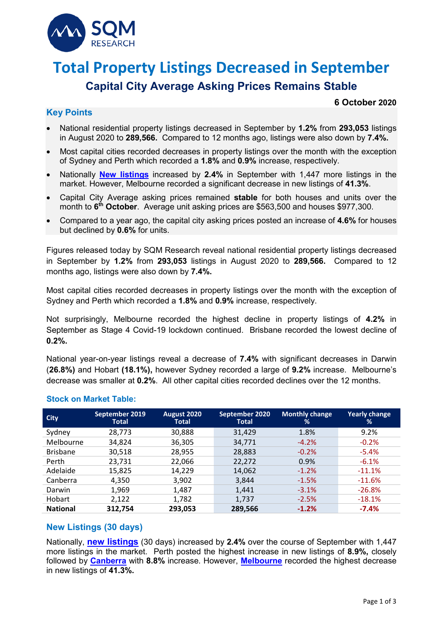

# **Total Property Listings Decreased in September Capital City Average Asking Prices Remains Stable**

# **Key Points**

#### **6 October 2020**

- National residential property listings decreased in September by **1.2%** from **293,053** listings in August 2020 to **289,566.** Compared to 12 months ago, listings were also down by **7.4%.**
- Most capital cities recorded decreases in property listings over the month with the exception of Sydney and Perth which recorded a **1.8%** and **0.9%** increase, respectively.
- Nationally **New [listings](https://sqmresearch.com.au/total-property-listings.php?national=1&t=1)** increased by **2.4%** in September with 1,447 more listings in the market. However, Melbourne recorded a significant decrease in new listings of **41.3%**.
- Capital City Average asking prices remained **stable** for both houses and units over the month to **6th October**. Average unit asking prices are \$563,500 and houses \$977,300.
- Compared to a year ago, the capital city asking prices posted an increase of **4.6%** for houses but declined by **0.6%** for units.

Figures released today by SQM Research reveal national residential property listings decreased in September by **1.2%** from **293,053** listings in August 2020 to **289,566.** Compared to 12 months ago, listings were also down by **7.4%.**

Most capital cities recorded decreases in property listings over the month with the exception of Sydney and Perth which recorded a **1.8%** and **0.9%** increase, respectively.

Not surprisingly, Melbourne recorded the highest decline in property listings of **4.2%** in September as Stage 4 Covid-19 lockdown continued. Brisbane recorded the lowest decline of **0.2%.**

National year-on-year listings reveal a decrease of **7.4%** with significant decreases in Darwin (**26.8%)** and Hobart **(18.1%),** however Sydney recorded a large of **9.2%** increase. Melbourne's decrease was smaller at **0.2%**. All other capital cities recorded declines over the 12 months.

| <b>City</b>     | September 2019<br>Total | <b>August 2020</b><br><b>Total</b> | September 2020<br><b>Total</b> | <b>Monthly change</b><br>% | <b>Yearly change</b><br>% |
|-----------------|-------------------------|------------------------------------|--------------------------------|----------------------------|---------------------------|
| Sydney          | 28,773                  | 30,888                             | 31,429                         | 1.8%                       | 9.2%                      |
| Melbourne       | 34.824                  | 36,305                             | 34,771                         | $-4.2%$                    | $-0.2%$                   |
| <b>Brisbane</b> | 30,518                  | 28,955                             | 28,883                         | $-0.2%$                    | $-5.4%$                   |
| Perth           | 23,731                  | 22,066                             | 22,272                         | 0.9%                       | $-6.1%$                   |
| Adelaide        | 15,825                  | 14,229                             | 14,062                         | $-1.2%$                    | $-11.1%$                  |
| Canberra        | 4,350                   | 3,902                              | 3,844                          | $-1.5%$                    | $-11.6%$                  |
| Darwin          | 1,969                   | 1,487                              | 1,441                          | $-3.1%$                    | $-26.8%$                  |
| Hobart          | 2,122                   | 1,782                              | 1,737                          | $-2.5%$                    | $-18.1%$                  |
| <b>National</b> | 312,754                 | 293,053                            | 289,566                        | $-1.2%$                    | $-7.4%$                   |

## **Stock on Market Table:**

## **New Listings (30 days)**

Nationally, **[new listings](https://sqmresearch.com.au/total-property-listings.php?national=1&t=1)** (30 days) increased by **2.4%** over the course of September with 1,447 more listings in the market. Perth posted the highest increase in new listings of **8.9%,** closely followed by **[Canberra](https://sqmresearch.com.au/total-property-listings.php?region=act%3A%3ACanberra&type=c&t=1)** with **8.8%** increase. However, **[Melbourne](https://sqmresearch.com.au/total-property-listings.php?region=vic%3A%3AMelbourne&type=c&t=1)** recorded the highest decrease in new listings of **41.3%.**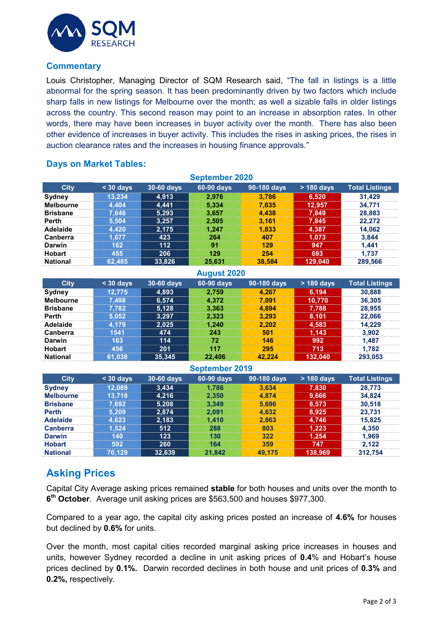

#### **Commentary**

Louis Christopher, Managing Director of SQM Research said, "The fall in listings is a little abnormal for the spring season. It has been predominantly driven by two factors which include sharp falls in new listings for Melbourne over the month; as well a sizable falls in older listings across the country. This second reason may point to an increase in absorption rates. In other words, there may have been increases in buyer activity over the month. There has also been other evidence of increases in buyer activity. This includes the rises in asking prices, the rises in auction clearance rates and the increases in housing finance approvals."

## **Days on Market Tables:**

| <b>September 2020</b> |           |            |            |             |              |                       |  |
|-----------------------|-----------|------------|------------|-------------|--------------|-----------------------|--|
| <b>City</b>           | $30$ days | 30-60 days | 60-90 days | 90-180 days | $> 180$ days | <b>Total Listings</b> |  |
| <b>Sydney</b>         | 13.234    | 4.913      | 2.976      | 3.786       | 6,520        | 31.429                |  |
| <b>Melbourne</b>      | 4.404     | 4.441      | 5.334      | 7.635       | 12,957       | 34.771                |  |
| <b>Brisbane</b>       | 7.646     | 5,293      | 3.657      | 4.438       | 7.849        | 28.883                |  |
| <b>Perth</b>          | 5.504     | 3,257      | 2.505      | 3.161       | 7,845        | 22.272                |  |
| Adelaide              | 4.420     | 2.175      | 1.247      | 1.833       | 4,387        | 14.062                |  |
| <b>Canberra</b>       | 677       | 423        | 264        | 407         | 1.073        | 3.844                 |  |
| <b>Darwin</b>         | 162       | $112$      | 91         | 129         | 947          | 1.441                 |  |
| <b>Hobart</b>         | 455       | 206        | 129        | 254         | 693          | 1.737                 |  |
| <b>National</b>       | 62,485    | 33,826     | 25.631     | 38.584      | 129,040      | 289,566               |  |

| <b>August 2020</b> |           |            |            |             |            |                       |  |
|--------------------|-----------|------------|------------|-------------|------------|-----------------------|--|
| <b>City</b>        | $30$ days | 30-60 days | 60-90 days | 90-180 days | > 180 days | <b>Total Listings</b> |  |
| Sydney             | 12.775    | 4,893      | 2.759      | 4.267       | 6,194      | 30,888                |  |
| <b>Melbourne</b>   | 7.498     | 6,574      | 4.372      | 7.091       | 10,770     | 36,305                |  |
| <b>Brisbane</b>    | 7.782     | 5,128      | 3,363      | 4.894       | 7,788      | 28,955                |  |
| Perth              | 5.052     | 3,297      | 2.323      | 3.293       | 8,101      | 22.066                |  |
| Adelaide           | 4.179     | 2,025      | 1.240      | 2.202       | 4,583      | 14.229                |  |
| Canberra           | 1541      | 474        | 243        | 501         | 1,143      | 3.902                 |  |
| Darwin             | 163       | 114        | 72         | 146         | 992        | 1.487                 |  |
| <b>Hobart</b>      | 456       | 201        | 117        | 295         | 713        | 1.782                 |  |
| <b>National</b>    | 61,038    | 35,345     | 22.406     | 42.224      | 132.040    | 293,053               |  |

# **September 2019**

| ------------     |           |            |            |             |              |                       |  |
|------------------|-----------|------------|------------|-------------|--------------|-----------------------|--|
| <b>City</b>      | $30$ days | 30-60 days | 60-90 days | 90-180 days | $> 180$ days | <b>Total Listings</b> |  |
| <b>Sydney</b>    | 12.089    | 3.434      | 1.786      | 3.634       | 7.830        | 28.773                |  |
| <b>Melbourne</b> | 13.718    | 4.216      | 2.350      | 4.874       | 9,666        | 34.824                |  |
| <b>Brisbane</b>  | 7.692     | 5,208      | 3.349      | 5.696       | 8.573        | 30.518                |  |
| <b>Perth</b>     | 5.209     | 2,874      | 2.091      | 4.632       | 8,925        | 23.731                |  |
| <b>Adelaide</b>  | 4.623     | 2.183      | 1.410      | 2.863       | 4.746        | 15,825                |  |
| <b>Canberra</b>  | .524      | 512        | 288        | 803         | 1.223        | 4.350                 |  |
| <b>Darwin</b>    | 140       | 123        | 130        | 322         | 1.254        | 1.969                 |  |
| <b>Hobart</b>    | 592       | 260        | 164        | 359         | 747          | 2.122                 |  |
| <b>National</b>  | 70.129    | 32,639     | 21.842     | 49.175      | 138,969      | 312.754               |  |

# **Asking Prices**

Capital City Average asking prices remained **stable** for both houses and units over the month to **6th October**. Average unit asking prices are \$563,500 and houses \$977,300.

Compared to a year ago, the capital city asking prices posted an increase of **4.6%** for houses but declined by **0.6%** for units.

Over the month, most capital cities recorded marginal asking price increases in houses and units, however Sydney recorded a decline in unit asking prices of **0.4**% and Hobart's house prices declined by **0.1%.** Darwin recorded declines in both house and unit prices of **0.3%** and **0.2%,** respectively.